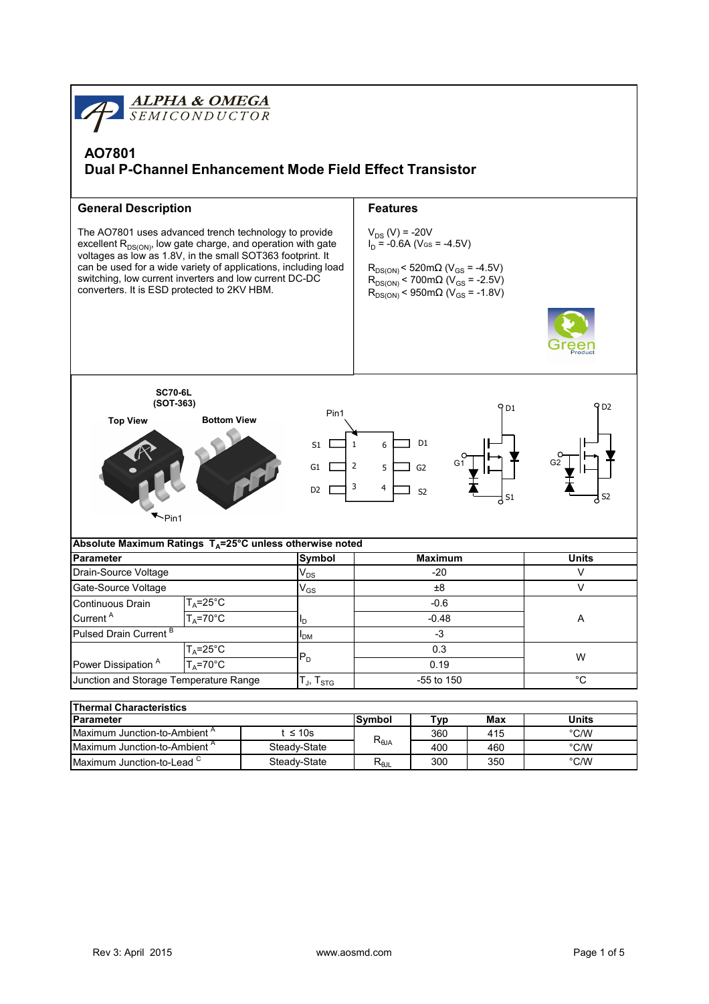

| Parameter                                |                                       | lSvmbol   | ™ур  | Max | Units         |
|------------------------------------------|---------------------------------------|-----------|------|-----|---------------|
| Maximum Junction-to-Ambient <sup>^</sup> | ≤ 10s<br>360<br>415<br>$R_{\theta$ JA |           | °C/W |     |               |
| Maximum Junction-to-Ambient <sup>^</sup> | Steady-State                          |           | 400  | 460 | $\degree$ C/W |
| Maximum Junction-to-Lead $\degree$       | Steady-State                          | D<br>Ւ⊕յլ | 300  | 350 | $\degree$ C/W |
|                                          |                                       |           |      |     |               |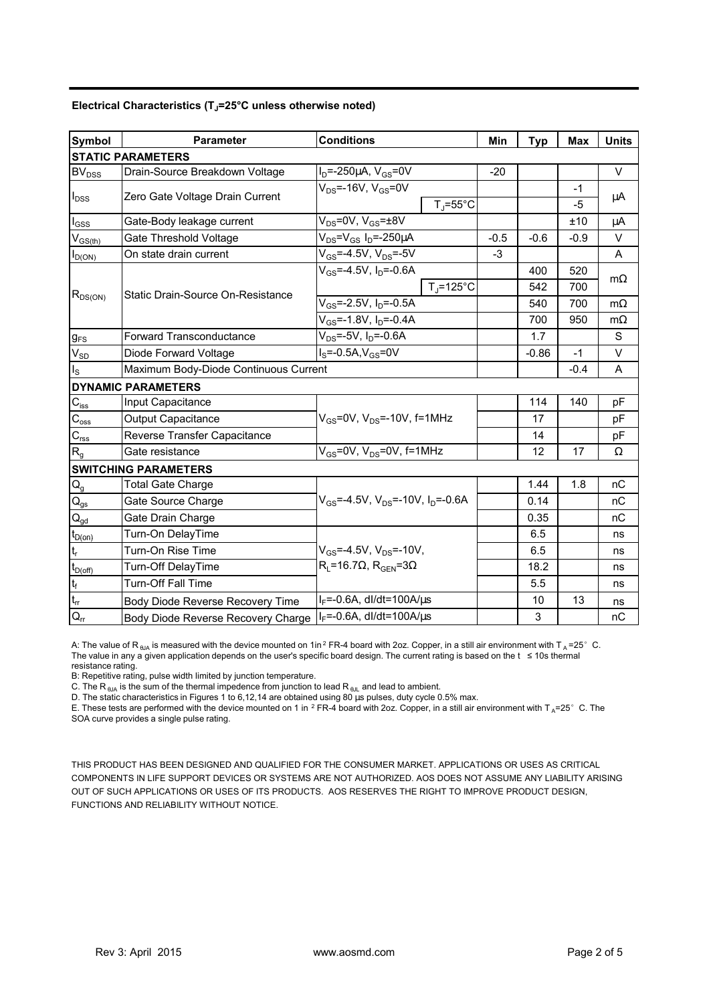|  | Electrical Characteristics (T <sub>J</sub> =25°C unless otherwise noted) |  |
|--|--------------------------------------------------------------------------|--|
|  |                                                                          |  |

| <b>Symbol</b>               | <b>Parameter</b>                      | <b>Conditions</b>                               |        | <b>Typ</b> | Max    | <b>Units</b> |  |  |  |
|-----------------------------|---------------------------------------|-------------------------------------------------|--------|------------|--------|--------------|--|--|--|
| <b>STATIC PARAMETERS</b>    |                                       |                                                 |        |            |        |              |  |  |  |
| <b>BV<sub>DSS</sub></b>     | Drain-Source Breakdown Voltage        | $I_D$ =-250µA, $V_{GS}$ =0V                     | $-20$  |            |        | $\vee$       |  |  |  |
| $I_{\text{DSS}}$            | Zero Gate Voltage Drain Current       | $V_{DS}$ =-16V, $V_{GS}$ =0V                    |        |            | $-1$   | μA           |  |  |  |
|                             |                                       | $T_i = 55^{\circ}C$                             |        |            | $-5$   |              |  |  |  |
| $\mathsf{I}_{\mathsf{GSS}}$ | Gate-Body leakage current             | $V_{DS} = 0V$ , $V_{GS} = \pm 8V$               |        |            | ±10    | μA           |  |  |  |
| $V_{GS(th)}$                | Gate Threshold Voltage                | $V_{DS} = V_{GS} I_D = -250 \mu A$              | $-0.5$ | $-0.6$     | $-0.9$ | $\vee$       |  |  |  |
| $I_{D(ON)}$                 | On state drain current                | $V_{GS} = -4.5V$ , $V_{DS} = -5V$               | -3     |            |        | A            |  |  |  |
| $R_{DS(ON)}$                |                                       | $V_{GS}$ =-4.5V, $I_{D}$ =-0.6A                 |        | 400        | 520    | $m\Omega$    |  |  |  |
|                             |                                       | $T_{\rm J}$ =125°C                              |        | 542        | 700    |              |  |  |  |
|                             | Static Drain-Source On-Resistance     | $V_{GS}$ =-2.5V, $I_D$ =-0.5A                   |        | 540        | 700    | $m\Omega$    |  |  |  |
|                             |                                       | $V_{GS}$ =-1.8V, $I_D$ =-0.4A                   |        | 700        | 950    | $m\Omega$    |  |  |  |
| $g_{FS}$                    | <b>Forward Transconductance</b>       | $V_{DS}$ =-5V, I <sub>D</sub> =-0.6A            |        | 1.7        |        | S            |  |  |  |
| $V_{SD}$                    | Diode Forward Voltage                 | $I_S = -0.5A, V_{GS} = 0V$                      |        | $-0.86$    | $-1$   | $\vee$       |  |  |  |
| Is                          | Maximum Body-Diode Continuous Current |                                                 |        |            | $-0.4$ | A            |  |  |  |
|                             | <b>DYNAMIC PARAMETERS</b>             |                                                 |        |            |        |              |  |  |  |
| $C_{iss}$                   | Input Capacitance                     |                                                 |        | 114        | 140    | pF           |  |  |  |
| $C_{\rm oss}$               | <b>Output Capacitance</b>             | $V_{GS}$ =0V, $V_{DS}$ =-10V, f=1MHz            |        | 17         |        | pF           |  |  |  |
| $C_{\text{rss}}$            | Reverse Transfer Capacitance          |                                                 |        | 14         |        | pF           |  |  |  |
| $R_{q}$                     | Gate resistance                       | $V_{GS}$ =0V, $V_{DS}$ =0V, f=1MHz              |        | 12         | 17     | Ω            |  |  |  |
|                             | <b>SWITCHING PARAMETERS</b>           |                                                 |        |            |        |              |  |  |  |
| $\mathsf{Q}_{\mathsf{g}}$   | <b>Total Gate Charge</b>              |                                                 |        | 1.44       | 1.8    | nC           |  |  |  |
| $\mathsf{Q}_\mathsf{gs}$    | Gate Source Charge                    | $V_{GS}$ =-4.5V, $V_{DS}$ =-10V, $I_{D}$ =-0.6A |        | 0.14       |        | nC           |  |  |  |
| $Q_{qd}$                    | Gate Drain Charge                     |                                                 |        | 0.35       |        | nC           |  |  |  |
| $t_{D(on)}$                 | Turn-On DelayTime                     |                                                 |        | 6.5        |        | ns           |  |  |  |
| t,                          | Turn-On Rise Time                     | $V_{GS}$ =-4.5V, $V_{DS}$ =-10V,                |        | 6.5        |        | ns           |  |  |  |
| $t_{D(off)}$                | Turn-Off DelayTime                    | $R_L$ =16.7 $\Omega$ , $R_{GEN}$ =3 $\Omega$    |        | 18.2       |        | ns           |  |  |  |
| $\mathfrak{t}_{\mathsf{f}}$ | Turn-Off Fall Time                    |                                                 |        | 5.5        |        | ns           |  |  |  |
| $t_{rr}$                    | Body Diode Reverse Recovery Time      | $I_F = -0.6A$ , dl/dt=100A/ $\mu$ s             |        | 10         | 13     | ns           |  |  |  |
| $Q_{rr}$                    | Body Diode Reverse Recovery Charge    | $I_F = -0.6A$ , dl/dt=100A/ $\mu$ s             |        | 3          |        | nC           |  |  |  |

A: The value of R <sub>eJA</sub> is measured with the device mounted on 1in<sup>2</sup> FR-4 board with 2oz. Copper, in a still air environment with T <sub>A</sub> =25° C.<br>The value in any a given application depends on the user's specific board de resistance rating.

B: Repetitive rating, pulse width limited by junction temperature.

C. The R <sub>θJA</sub> is the sum of the thermal impedence from junction to lead R <sub>θJL</sub> and lead to ambient.<br>D. The static characteristics in Figures 1 to 6,12,14 are obtained using 80 μs pulses, duty cycle 0.5% max.

E. These tests are performed with the device mounted on 1 in <sup>2</sup> FR-4 board with 2oz. Copper, in a still air environment with T<sub>A</sub>=25°C. The SOA curve provides a single pulse rating.

THIS PRODUCT HAS BEEN DESIGNED AND QUALIFIED FOR THE CONSUMER MARKET. APPLICATIONS OR USES AS CRITICAL COMPONENTS IN LIFE SUPPORT DEVICES OR SYSTEMS ARE NOT AUTHORIZED. AOS DOES NOT ASSUME ANY LIABILITY ARISING OUT OF SUCH APPLICATIONS OR USES OF ITS PRODUCTS. AOS RESERVES THE RIGHT TO IMPROVE PRODUCT DESIGN, FUNCTIONS AND RELIABILITY WITHOUT NOTICE.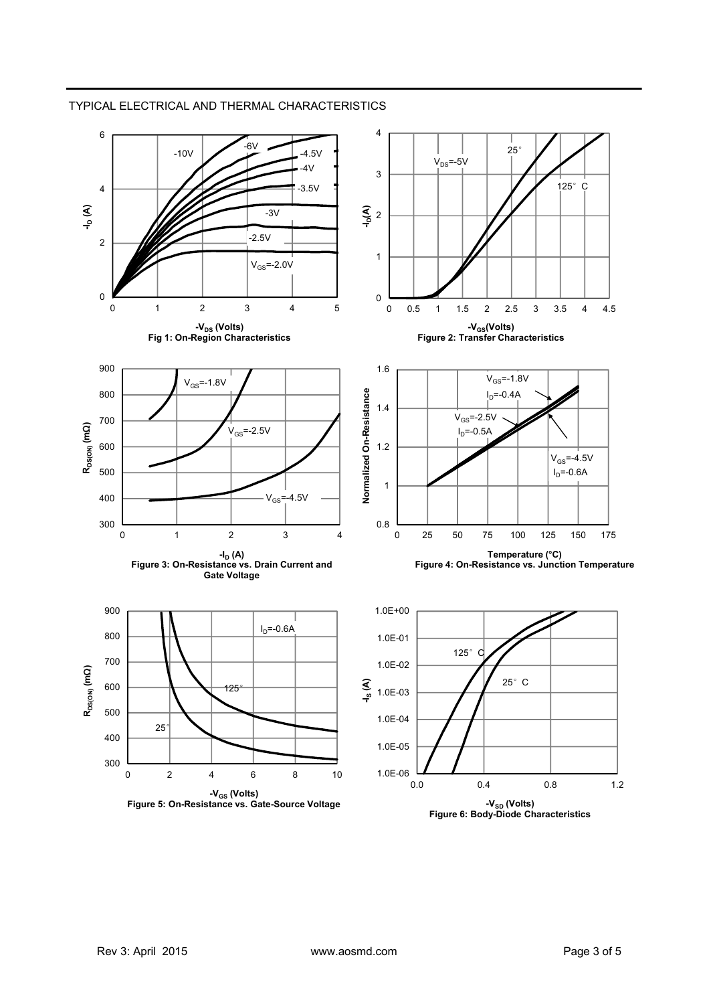

## TYPICAL ELECTRICAL AND THERMAL CHARACTERISTICS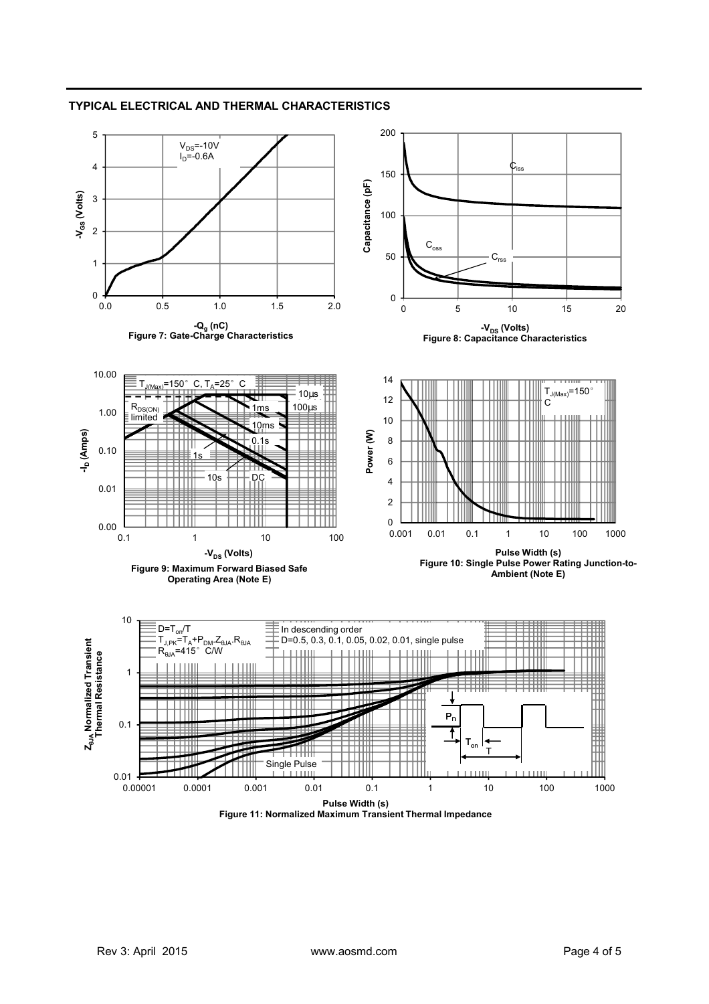

## **TYPICAL ELECTRICAL AND THERMAL CHARACTERISTICS**

**Figure 11: Normalized Maximum Transient Thermal Impedance**